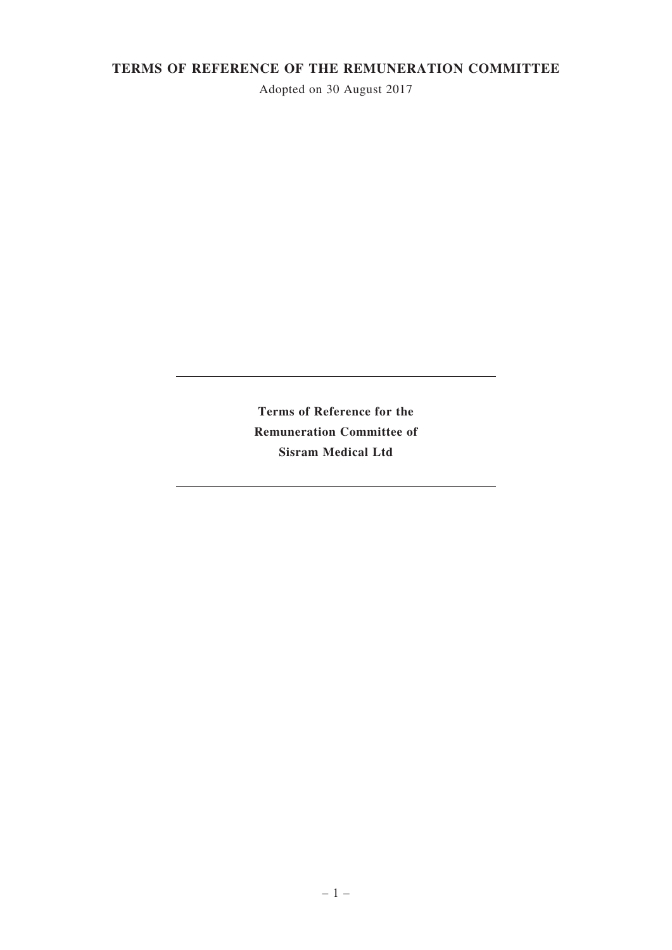# **TERMS OF REFERENCE OF THE REMUNERATION COMMITTEE**

Adopted on 30 August 2017

**Terms of Reference for the Remuneration Committee of Sisram Medical Ltd**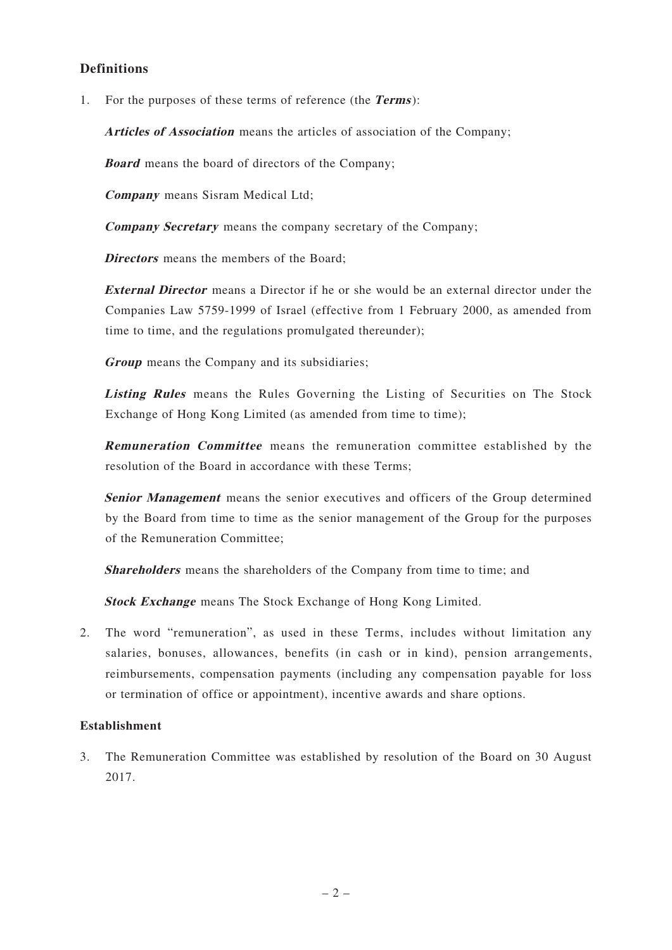# **Definitions**

1. For the purposes of these terms of reference (the **Terms**):

**Articles of Association** means the articles of association of the Company;

**Board** means the board of directors of the Company;

**Company** means Sisram Medical Ltd;

**Company Secretary** means the company secretary of the Company;

**Directors** means the members of the Board;

**External Director** means a Director if he or she would be an external director under the Companies Law 5759-1999 of Israel (effective from 1 February 2000, as amended from time to time, and the regulations promulgated thereunder);

**Group** means the Company and its subsidiaries;

**Listing Rules** means the Rules Governing the Listing of Securities on The Stock Exchange of Hong Kong Limited (as amended from time to time):

**Remuneration Committee** means the remuneration committee established by the resolution of the Board in accordance with these Terms;

**Senior Management** means the senior executives and officers of the Group determined by the Board from time to time as the senior management of the Group for the purposes of the Remuneration Committee;

**Shareholders** means the shareholders of the Company from time to time; and

**Stock Exchange** means The Stock Exchange of Hong Kong Limited.

2. The word "remuneration", as used in these Terms, includes without limitation any salaries, bonuses, allowances, benefits (in cash or in kind), pension arrangements, reimbursements, compensation payments (including any compensation payable for loss or termination of office or appointment), incentive awards and share options.

# **Establishment**

3. The Remuneration Committee was established by resolution of the Board on 30 August 2017.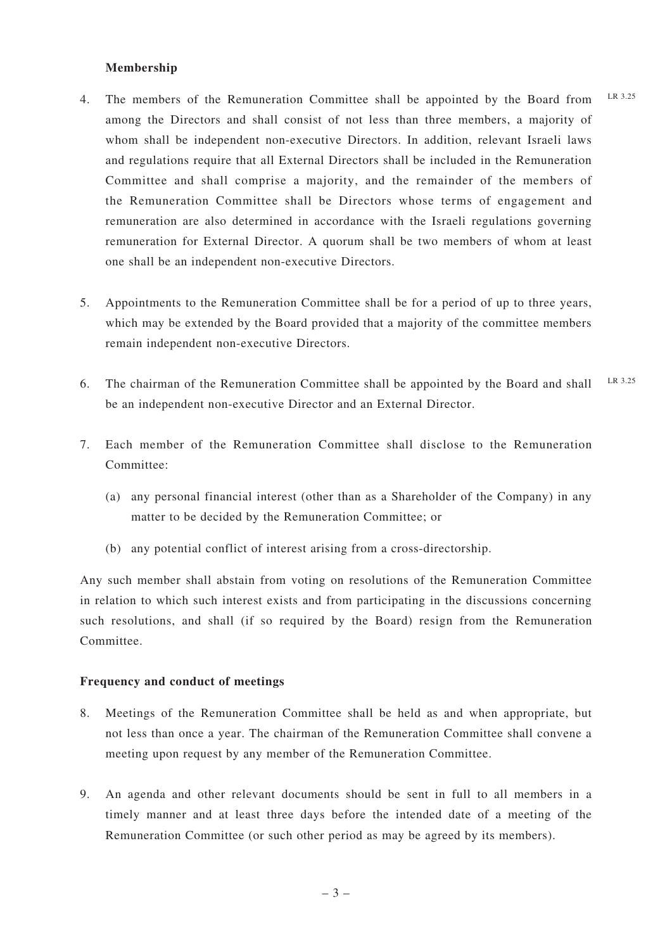### **Membership**

- 4. The members of the Remuneration Committee shall be appointed by the Board from among the Directors and shall consist of not less than three members, a majority of whom shall be independent non-executive Directors. In addition, relevant Israeli laws and regulations require that all External Directors shall be included in the Remuneration Committee and shall comprise a majority, and the remainder of the members of the Remuneration Committee shall be Directors whose terms of engagement and remuneration are also determined in accordance with the Israeli regulations governing remuneration for External Director. A quorum shall be two members of whom at least one shall be an independent non-executive Directors. LR 3.25
- 5. Appointments to the Remuneration Committee shall be for a period of up to three years, which may be extended by the Board provided that a majority of the committee members remain independent non-executive Directors.
- 6. The chairman of the Remuneration Committee shall be appointed by the Board and shall be an independent non-executive Director and an External Director. LR 3.25
- 7. Each member of the Remuneration Committee shall disclose to the Remuneration Committee:
	- (a) any personal financial interest (other than as a Shareholder of the Company) in any matter to be decided by the Remuneration Committee; or
	- (b) any potential conflict of interest arising from a cross-directorship.

Any such member shall abstain from voting on resolutions of the Remuneration Committee in relation to which such interest exists and from participating in the discussions concerning such resolutions, and shall (if so required by the Board) resign from the Remuneration Committee.

### **Frequency and conduct of meetings**

- 8. Meetings of the Remuneration Committee shall be held as and when appropriate, but not less than once a year. The chairman of the Remuneration Committee shall convene a meeting upon request by any member of the Remuneration Committee.
- 9. An agenda and other relevant documents should be sent in full to all members in a timely manner and at least three days before the intended date of a meeting of the Remuneration Committee (or such other period as may be agreed by its members).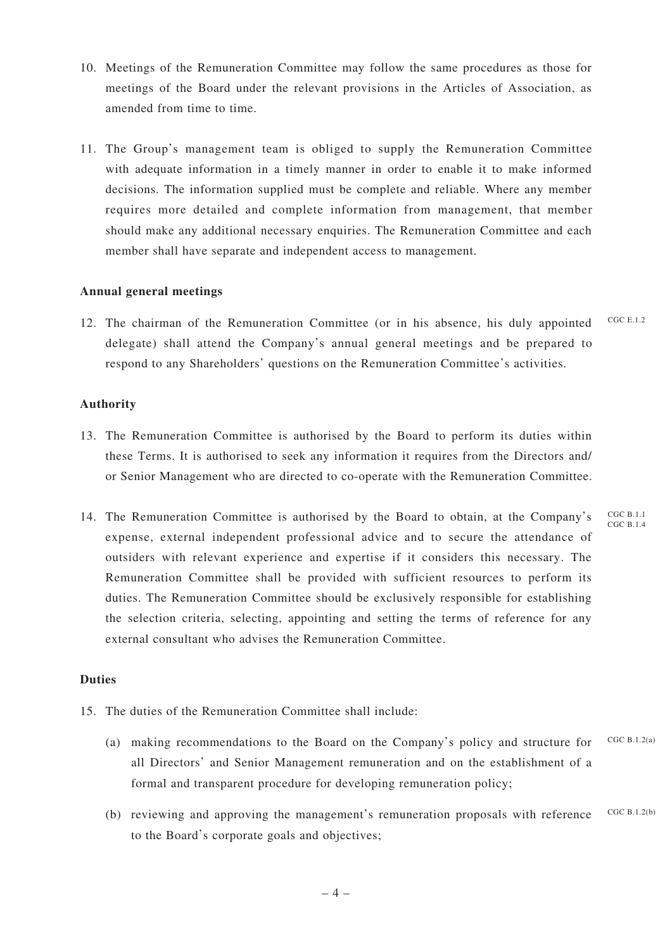- 10. Meetings of the Remuneration Committee may follow the same procedures as those for meetings of the Board under the relevant provisions in the Articles of Association, as amended from time to time.
- 11. The Group's management team is obliged to supply the Remuneration Committee with adequate information in a timely manner in order to enable it to make informed decisions. The information supplied must be complete and reliable. Where any member requires more detailed and complete information from management, that member should make any additional necessary enquiries. The Remuneration Committee and each member shall have separate and independent access to management.

## **Annual general meetings**

12. The chairman of the Remuneration Committee (or in his absence, his duly appointed delegate) shall attend the Company's annual general meetings and be prepared to respond to any Shareholders' questions on the Remuneration Committee's activities. CGC E.1.2

## **Authority**

- 13. The Remuneration Committee is authorised by the Board to perform its duties within these Terms. It is authorised to seek any information it requires from the Directors and/ or Senior Management who are directed to co-operate with the Remuneration Committee.
- 14. The Remuneration Committee is authorised by the Board to obtain, at the Company's expense, external independent professional advice and to secure the attendance of outsiders with relevant experience and expertise if it considers this necessary. The Remuneration Committee shall be provided with sufficient resources to perform its duties. The Remuneration Committee should be exclusively responsible for establishing the selection criteria, selecting, appointing and setting the terms of reference for any external consultant who advises the Remuneration Committee. CGC B.1.1 CGC B.1.4

### **Duties**

- 15. The duties of the Remuneration Committee shall include:
	- (a) making recommendations to the Board on the Company's policy and structure for all Directors' and Senior Management remuneration and on the establishment of a formal and transparent procedure for developing remuneration policy;  $CGC \ R 1.2(a)$
	- (b) reviewing and approving the management's remuneration proposals with reference to the Board's corporate goals and objectives; CGC B.1.2(b)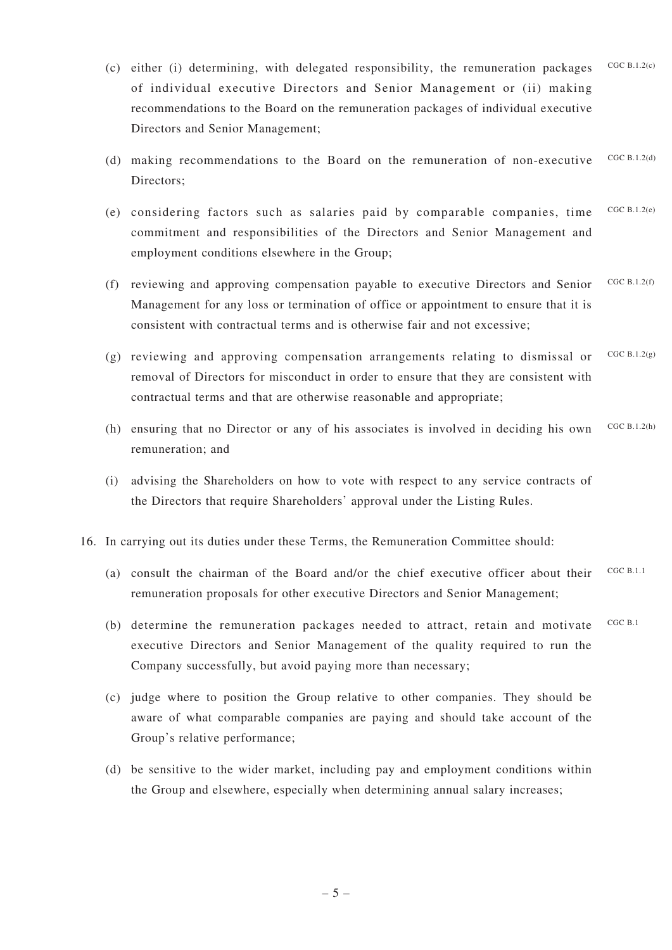- (c) either (i) determining, with delegated responsibility, the remuneration packages of individual executive Directors and Senior Management or (ii) making recommendations to the Board on the remuneration packages of individual executive Directors and Senior Management;  $CGC \cdot R + 2(c)$
- (d) making recommendations to the Board on the remuneration of non-executive Directors; CGC B.1.2(d)
- (e) considering factors such as salaries paid by comparable companies, time commitment and responsibilities of the Directors and Senior Management and employment conditions elsewhere in the Group; CGC B.1.2(e)
- (f) reviewing and approving compensation payable to executive Directors and Senior Management for any loss or termination of office or appointment to ensure that it is consistent with contractual terms and is otherwise fair and not excessive;  $CGC$  B.1.2(f)
- (g) reviewing and approving compensation arrangements relating to dismissal or removal of Directors for misconduct in order to ensure that they are consistent with contractual terms and that are otherwise reasonable and appropriate; CGC  $B.1.2(g)$
- (h) ensuring that no Director or any of his associates is involved in deciding his own remuneration; and CGC B.1.2(h)
- (i) advising the Shareholders on how to vote with respect to any service contracts of the Directors that require Shareholders' approval under the Listing Rules.
- 16. In carrying out its duties under these Terms, the Remuneration Committee should:
	- (a) consult the chairman of the Board and/or the chief executive officer about their remuneration proposals for other executive Directors and Senior Management; CGC B.1.1
	- (b) determine the remuneration packages needed to attract, retain and motivate executive Directors and Senior Management of the quality required to run the Company successfully, but avoid paying more than necessary; CGC B.1
	- (c) judge where to position the Group relative to other companies. They should be aware of what comparable companies are paying and should take account of the Group's relative performance;
	- (d) be sensitive to the wider market, including pay and employment conditions within the Group and elsewhere, especially when determining annual salary increases;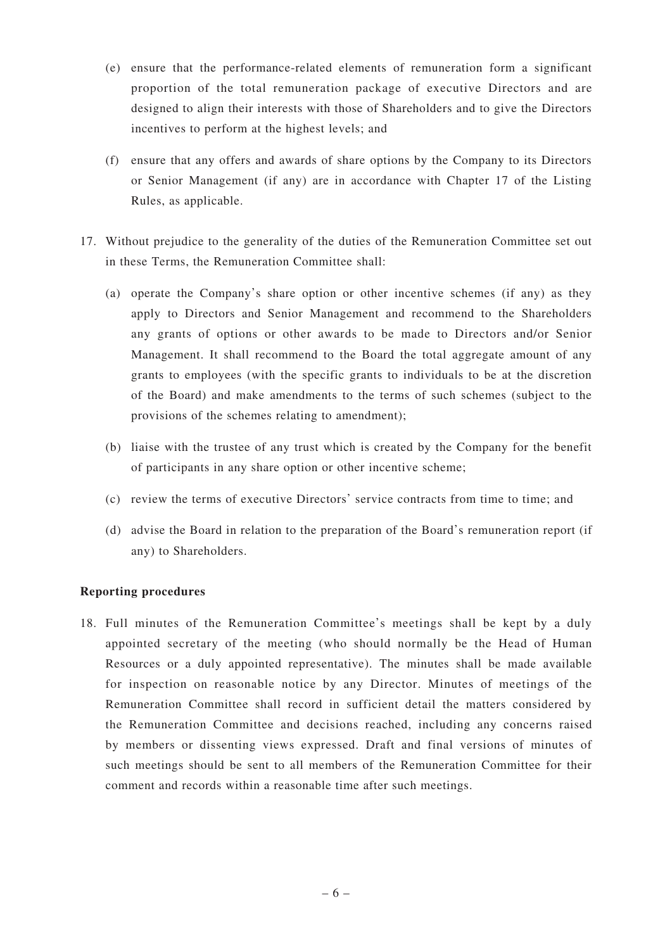- (e) ensure that the performance-related elements of remuneration form a significant proportion of the total remuneration package of executive Directors and are designed to align their interests with those of Shareholders and to give the Directors incentives to perform at the highest levels; and
- (f) ensure that any offers and awards of share options by the Company to its Directors or Senior Management (if any) are in accordance with Chapter 17 of the Listing Rules, as applicable.
- 17. Without prejudice to the generality of the duties of the Remuneration Committee set out in these Terms, the Remuneration Committee shall:
	- (a) operate the Company's share option or other incentive schemes (if any) as they apply to Directors and Senior Management and recommend to the Shareholders any grants of options or other awards to be made to Directors and/or Senior Management. It shall recommend to the Board the total aggregate amount of any grants to employees (with the specific grants to individuals to be at the discretion of the Board) and make amendments to the terms of such schemes (subject to the provisions of the schemes relating to amendment);
	- (b) liaise with the trustee of any trust which is created by the Company for the benefit of participants in any share option or other incentive scheme;
	- (c) review the terms of executive Directors' service contracts from time to time; and
	- (d) advise the Board in relation to the preparation of the Board's remuneration report (if any) to Shareholders.

# **Reporting procedures**

18. Full minutes of the Remuneration Committee's meetings shall be kept by a duly appointed secretary of the meeting (who should normally be the Head of Human Resources or a duly appointed representative). The minutes shall be made available for inspection on reasonable notice by any Director. Minutes of meetings of the Remuneration Committee shall record in sufficient detail the matters considered by the Remuneration Committee and decisions reached, including any concerns raised by members or dissenting views expressed. Draft and final versions of minutes of such meetings should be sent to all members of the Remuneration Committee for their comment and records within a reasonable time after such meetings.